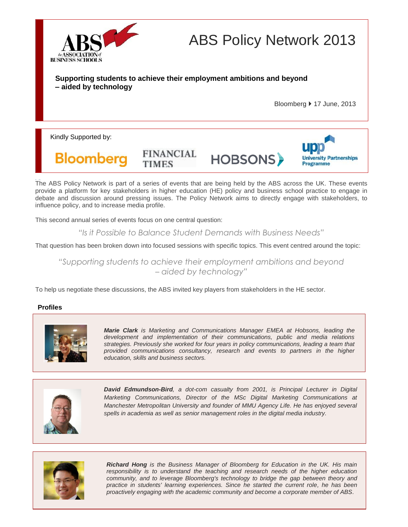

ABS Policy Network 2013

# **Supporting students to achieve their employment ambitions and beyond – aided by technology**

**FINANCIAL** 

**TIMES** 

Bloomberg 17 June, 2013

Kindly Supported by:



**HOBSONS>** 



The ABS Policy Network is part of a series of events that are being held by the ABS across the UK. These events provide a platform for key stakeholders in higher education (HE) policy and business school practice to engage in debate and discussion around pressing issues. The Policy Network aims to directly engage with stakeholders, to influence policy, and to increase media profile.

This second annual series of events focus on one central question:

*"Is it Possible to Balance Student Demands with Business Needs"*

That question has been broken down into focused sessions with specific topics. This event centred around the topic:

*"Supporting students to achieve their employment ambitions and beyond – aided by technology"*

To help us negotiate these discussions, the ABS invited key players from stakeholders in the HE sector.

# **Profiles**



*Marie Clark is Marketing and Communications Manager EMEA at Hobsons, leading the development and implementation of their communications, public and media relations strategies. Previously she worked for four years in policy communications, leading a team that provided communications consultancy, research and events to partners in the higher education, skills and business sectors.*



*David Edmundson-Bird, a dot-com casualty from 2001, is Principal Lecturer in Digital Marketing Communications, Director of the MSc Digital Marketing Communications at Manchester Metropolitan University and founder of MMU Agency Life. He has enjoyed several*  spells in academia as well as senior management roles in the digital media industry.



*Richard Hong is the Business Manager of Bloomberg for Education in the UK. His main responsibility is to understand the teaching and research needs of the higher education community, and to leverage Bloomberg's technology to bridge the gap between theory and practice in students' learning experiences. Since he started the current role, he has been proactively engaging with the academic community and become a corporate member of ABS.*